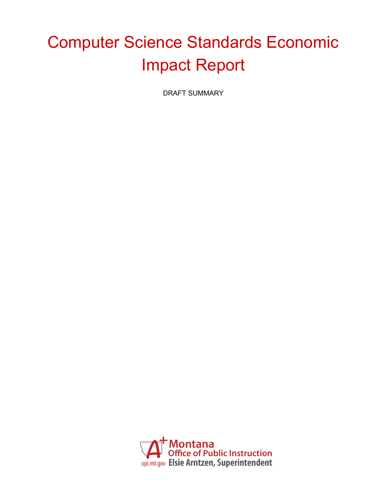# Computer Science Standards Economic Impact Report

DRAFT SUMMARY

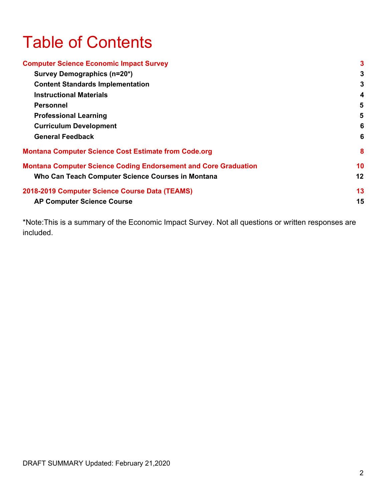# Table of Contents

| <b>Computer Science Economic Impact Survey</b>                         | 3  |
|------------------------------------------------------------------------|----|
| Survey Demographics (n=20*)                                            | 3  |
| <b>Content Standards Implementation</b>                                | 3  |
| <b>Instructional Materials</b>                                         | 4  |
| <b>Personnel</b>                                                       | 5  |
| <b>Professional Learning</b>                                           | 5  |
| <b>Curriculum Development</b>                                          | 6  |
| <b>General Feedback</b>                                                | 6  |
| <b>Montana Computer Science Cost Estimate from Code.org</b>            | 8  |
| <b>Montana Computer Science Coding Endorsement and Core Graduation</b> | 10 |
| Who Can Teach Computer Science Courses in Montana                      | 12 |
| 2018-2019 Computer Science Course Data (TEAMS)                         | 13 |
| <b>AP Computer Science Course</b>                                      | 15 |

\*Note:This is a summary of the Economic Impact Survey. Not all questions or written responses are included.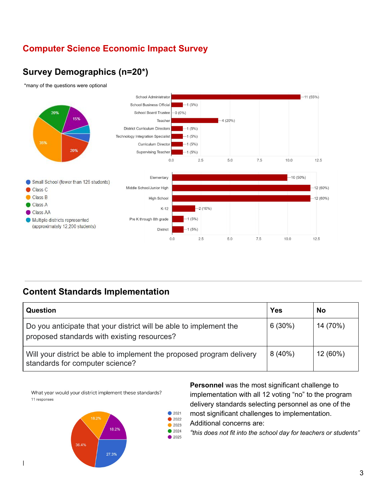## <span id="page-2-0"></span>**Computer Science Economic Impact Survey**

# <span id="page-2-1"></span>**Survey Demographics (n=20\*)**

\*many of the questions were optional



### <span id="page-2-2"></span>**Content Standards Implementation**

| <b>Question</b>                                                                                                   | Yes       | <b>No</b> |
|-------------------------------------------------------------------------------------------------------------------|-----------|-----------|
| Do you anticipate that your district will be able to implement the<br>proposed standards with existing resources? | 6(30%)    | 14 (70%)  |
| Will your district be able to implement the proposed program delivery<br>standards for computer science?          | $8(40\%)$ | 12 (60%)  |

What year would your district implement these standards? 11 responses



**Personnel** was the most significant challenge to implementation with all 12 voting "no" to the program delivery standards selecting personnel as one of the

- $2021$ most significant challenges to implementation.  $\bullet$  2022
- Additional concerns are:  $• 2023$
- $2024$ *"this does not fit into the school day for teachers or students"* ● 2025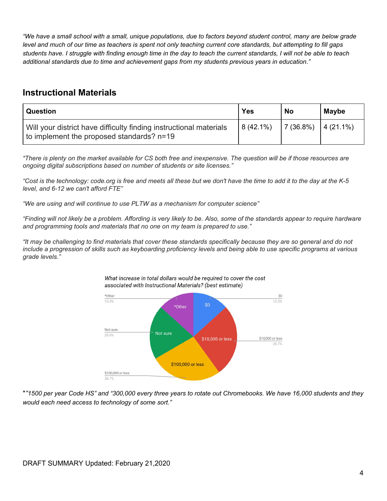"We have a small school with a small, unique populations, due to factors beyond student control, many are below grade level and much of our time as teachers is spent not only teaching current core standards, but attempting to fill gaps students have. I struggle with finding enough time in the day to teach the current standards, I will not be able to teach *additional standards due to time and achievement gaps from my students previous years in education."*

#### <span id="page-3-0"></span>**Instructional Materials**

| <b>Question</b>                                                                                                 | <b>Yes</b>  | <b>No</b> | <b>Maybe</b>      |
|-----------------------------------------------------------------------------------------------------------------|-------------|-----------|-------------------|
| Will your district have difficulty finding instructional materials<br>to implement the proposed standards? n=19 | $8(42.1\%)$ | 17(36.8%) | $\vert$ 4 (21.1%) |

"There is plenty on the market available for CS both free and inexpensive. The question will be if those resources are *ongoing digital subscriptions based on number of students or site licenses."*

"Cost is the technology: code.org is free and meets all these but we don't have the time to add it to the day at the K-5 *level, and 6-12 we can't afford FTE"*

*"We are using and will continue to use PLTW as a mechanism for computer science"*

"Finding will not likely be a problem. Affording is very likely to be. Also, some of the standards appear to require hardware *and programming tools and materials that no one on my team is prepared to use."*

"It may be challenging to find materials that cover these standards specifically because they are so general and do not include a progression of skills such as keyboarding proficiency levels and being able to use specific programs at various *grade levels."*





\*"1500 per year Code HS" and "300,000 every three years to rotate out Chromebooks. We have 16,000 students and they *would each need access to technology of some sort."*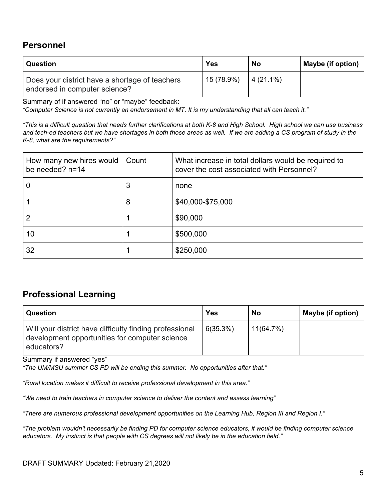#### <span id="page-4-0"></span>**Personnel**

| Question                                                                        | Yes        | No           | Maybe (if option) |
|---------------------------------------------------------------------------------|------------|--------------|-------------------|
| Does your district have a shortage of teachers<br>endorsed in computer science? | 15 (78.9%) | $ 4(21.1\%)$ |                   |

Summary of if answered "no" or "maybe" feedback:

"Computer Science is not currently an endorsement in MT. It is my understanding that all can teach it."

"This is a difficult question that needs further clarifications at both K-8 and High School. High school we can use business and tech-ed teachers but we have shortages in both those areas as well. If we are adding a CS program of study in the *K-8, what are the requirements?"*

| How many new hires would<br>be needed? n=14 | Count | What increase in total dollars would be required to<br>cover the cost associated with Personnel? |
|---------------------------------------------|-------|--------------------------------------------------------------------------------------------------|
|                                             | 3     | none                                                                                             |
|                                             | 8     | \$40,000-\$75,000                                                                                |
|                                             |       | \$90,000                                                                                         |
| 10                                          |       | \$500,000                                                                                        |
| 32                                          |       | \$250,000                                                                                        |

#### <span id="page-4-1"></span>**Professional Learning**

| Question                                                                                                                | <b>Yes</b> | No           | Maybe (if option) |
|-------------------------------------------------------------------------------------------------------------------------|------------|--------------|-------------------|
| Will your district have difficulty finding professional<br>development opportunities for computer science<br>educators? | 6(35.3%)   | $11(64.7\%)$ |                   |

Summary if answered "yes"

*"The UM/MSU summer CS PD will be ending this summer. No opportunities after that."*

*"Rural location makes it difficult to receive professional development in this area."*

*"We need to train teachers in computer science to deliver the content and assess learning"*

*"There are numerous professional development opportunities on the Learning Hub, Region III and Region I."*

"The problem wouldn't necessarily be finding PD for computer science educators, it would be finding computer science *educators. My instinct is that people with CS degrees will not likely be in the education field."*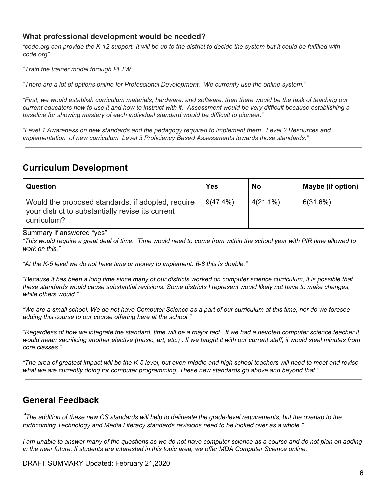#### **What professional development would be needed?**

"code org can provide the K-12 support. It will be up to the district to decide the system but it could be fulfilled with *code.org"*

*"Train the trainer model through PLTW"*

*"There are a lot of options online for Professional Development. We currently use the online system."*

"First, we would establish curriculum materials, hardware, and software, then there would be the task of teaching our current educators how to use it and how to instruct with it. Assessment would be very difficult because establishing a *baseline for showing mastery of each individual standard would be difficult to pioneer."*

*"Level 1 Awareness on new standards and the pedagogy required to implement them. Level 2 Resources and implementation of new curriculum Level 3 Proficiency Based Assessments towards those standards."*

#### <span id="page-5-0"></span>**Curriculum Development**

| Question                                                                                                              | <b>Yes</b>  | No          | Maybe (if option) |
|-----------------------------------------------------------------------------------------------------------------------|-------------|-------------|-------------------|
| Would the proposed standards, if adopted, require<br>your district to substantially revise its current<br>curriculum? | $9(47.4\%)$ | $4(21.1\%)$ | 6(31.6%)          |

Summary if answered "yes"

"This would require a great deal of time. Time would need to come from within the school year with PIR time allowed to *work on this."*

*"At the K-5 level we do not have time or money to implement. 6-8 this is doable."*

"Because it has been a long time since many of our districts worked on computer science curriculum, it is possible that these standards would cause substantial revisions. Some districts I represent would likely not have to make changes, *while others would."*

"We are a small school. We do not have Computer Science as a part of our curriculum at this time, nor do we foresee *adding this course to our course offering here at the school."*

"Regardless of how we integrate the standard, time will be a maior fact. If we had a devoted computer science teacher it would mean sacrificing another elective (music, art, etc.). If we taught it with our current staff, it would steal minutes from *core classes."*

"The area of greatest impact will be the K-5 level, but even middle and high school teachers will need to meet and revise *what we are currently doing for computer programming. These new standards go above and beyond that."*

#### <span id="page-5-1"></span>**General Feedback**

"The addition of these new CS standards will help to delineate the grade-level requirements, but the overlap to the *forthcoming Technology and Media Literacy standards revisions need to be looked over as a whole."*

I am unable to answer many of the questions as we do not have computer science as a course and do not plan on adding in the near future. If students are interested in this topic area, we offer MDA Computer Science online.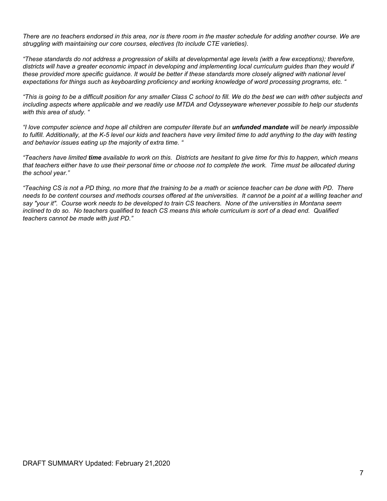There are no teachers endorsed in this area, nor is there room in the master schedule for adding another course. We are *struggling with maintaining our core courses, electives (to include CTE varieties).*

"These standards do not address a progression of skills at developmental age levels (with a few exceptions); therefore, districts will have a greater economic impact in developing and implementing local curriculum guides than they would if these provided more specific guidance. It would be better if these standards more closely aligned with national level expectations for things such as keyboarding proficiency and working knowledge of word processing programs, etc. "

"This is going to be a difficult position for any smaller Class C school to fill. We do the best we can with other subjects and including aspects where applicable and we readily use MTDA and Odysseyware whenever possible to help our students *with this area of study. "*

"I love computer science and hope all children are computer literate but an **unfunded mandate** will be nearly impossible to fulfill. Additionally, at the K-5 level our kids and teachers have very limited time to add anything to the day with testing *and behavior issues eating up the majority of extra time. "*

"Teachers have limited time available to work on this. Districts are hesitant to give time for this to happen, which means that teachers either have to use their personal time or choose not to complete the work. Time must be allocated during *the school year."*

"Teaching CS is not a PD thing, no more that the training to be a math or science teacher can be done with PD. There needs to be content courses and methods courses offered at the universities. It cannot be a point at a willing teacher and say "your it". Course work needs to be developed to train CS teachers. None of the universities in Montana seem inclined to do so. No teachers qualified to teach CS means this whole curriculum is sort of a dead end. Qualified *teachers cannot be made with just PD."*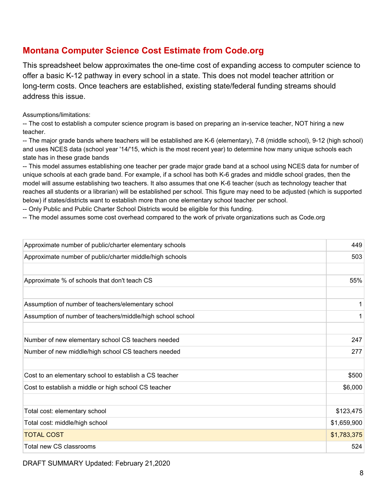#### <span id="page-7-0"></span>**Montana Computer Science Cost Estimate from Code.org**

This spreadsheet below approximates the one-time cost of expanding access to computer science to offer a basic K-12 pathway in every school in a state. This does not model teacher attrition or long-term costs. Once teachers are established, existing state/federal funding streams should address this issue.

Assumptions/limitations:

-- The cost to establish a computer science program is based on preparing an in-service teacher, NOT hiring a new teacher.

-- The major grade bands where teachers will be established are K-6 (elementary), 7-8 (middle school), 9-12 (high school) and uses NCES data (school year '14/'15, which is the most recent year) to determine how many unique schools each state has in these grade bands

-- This model assumes establishing one teacher per grade major grade band at a school using NCES data for number of unique schools at each grade band. For example, if a school has both K-6 grades and middle school grades, then the model will assume establishing two teachers. It also assumes that one K-6 teacher (such as technology teacher that reaches all students or a librarian) will be established per school. This figure may need to be adjusted (which is supported below) if states/districts want to establish more than one elementary school teacher per school.

-- Only Public and Public Charter School Districts would be eligible for this funding.

-- The model assumes some cost overhead compared to the work of private organizations such as Code.org

| Approximate number of public/charter elementary schools    | 449         |
|------------------------------------------------------------|-------------|
| Approximate number of public/charter middle/high schools   | 503         |
|                                                            |             |
| Approximate % of schools that don't teach CS               | 55%         |
|                                                            |             |
| Assumption of number of teachers/elementary school         | 1           |
| Assumption of number of teachers/middle/high school school | 1           |
| Number of new elementary school CS teachers needed         | 247         |
| Number of new middle/high school CS teachers needed        | 277         |
| Cost to an elementary school to establish a CS teacher     | \$500       |
| Cost to establish a middle or high school CS teacher       | \$6,000     |
| Total cost: elementary school                              | \$123,475   |
| Total cost: middle/high school                             | \$1,659,900 |
| <b>TOTAL COST</b>                                          | \$1,783,375 |
| Total new CS classrooms                                    | 524         |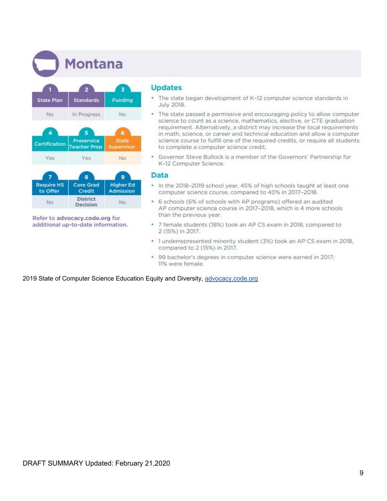**Montana** 



Refer to advocacy.code.org for additional up-to-date information.

#### **Updates**

- The state began development of K-12 computer science standards in ¥ **July 2018.**
- The state passed a permissive and encouraging policy to allow computer science to count as a science, mathematics, elective, or CTE graduation requirement. Alternatively, a district may increase the local requirements in math, science, or career and technical education and allow a computer science course to fulfill one of the required credits, or require all students to complete a computer science credit.
- Governor Steve Bullock is a member of the Governors' Partnership for K-12 Computer Science.

#### **Data**

- . In the 2018-2019 school year, 45% of high schools taught at least one computer science course, compared to 40% in 2017-2018.
- 6 schools (6% of schools with AP programs) offered an audited AP computer science course in 2017-2018, which is 4 more schools than the previous year.
- 7 female students (18%) took an AP CS exam in 2018, compared to 2 (15%) in 2017.
- . 1 underrepresented minority student (3%) took an AP CS exam in 2018, compared to 2 (15%) in 2017.
- · 99 bachelor's degrees in computer science were earned in 2017; 11% were female.

2019 State of Computer Science Education Equity and Diversity, [advocacy.code.org](https://advocacy.code.org/2019_state_of_cs.pdf)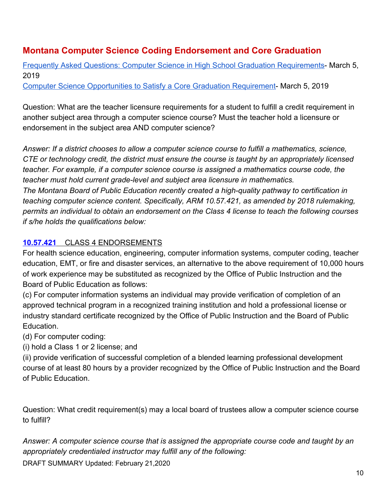## <span id="page-9-0"></span>**Montana Computer Science Coding Endorsement and Core Graduation**

[Frequently Asked Questions: Computer Science in High School Graduation Requirements-](http://opi.mt.gov/LinkClick.aspx?fileticket=9kOUXH_JC5E%3d&portalid=182) March 5, 2019

[Computer Science Opportunities to Satisfy a Core Graduation Requirement](http://opi.mt.gov/LinkClick.aspx?fileticket=VGadDwpLZr0%3d&portalid=182)- March 5, 2019

Question: What are the teacher licensure requirements for a student to fulfill a credit requirement in another subject area through a computer science course? Must the teacher hold a licensure or endorsement in the subject area AND computer science?

*Answer: If a district chooses to allow a computer science course to fulfill a mathematics, science, CTE or technology credit, the district must ensure the course is taught by an appropriately licensed teacher. For example, if a computer science course is assigned a mathematics course code, the teacher must hold current grade-level and subject area licensure in mathematics. The Montana Board of Public Education recently created a high-quality pathway to certification in teaching computer science content. Specifically, ARM 10.57.421, as amended by 2018 rulemaking, permits an individual to obtain an endorsement on the Class 4 license to teach the following courses if s/he holds the qualifications below:*

#### **[10.57.421](http://www.mtrules.org/gateway/ruleno.asp?RN=10%2E57%2E421)** CLASS 4 ENDORSEMENTS

For health science education, engineering, computer information systems, computer coding, teacher education, EMT, or fire and disaster services, an alternative to the above requirement of 10,000 hours of work experience may be substituted as recognized by the Office of Public Instruction and the Board of Public Education as follows:

(c) For computer information systems an individual may provide verification of completion of an approved technical program in a recognized training institution and hold a professional license or industry standard certificate recognized by the Office of Public Instruction and the Board of Public Education.

(d) For computer coding:

(i) hold a Class 1 or 2 license; and

(ii) provide verification of successful completion of a blended learning professional development course of at least 80 hours by a provider recognized by the Office of Public Instruction and the Board of Public Education.

Question: What credit requirement(s) may a local board of trustees allow a computer science course to fulfill?

*Answer: A computer science course that is assigned the appropriate course code and taught by an appropriately credentialed instructor may fulfill any of the following:*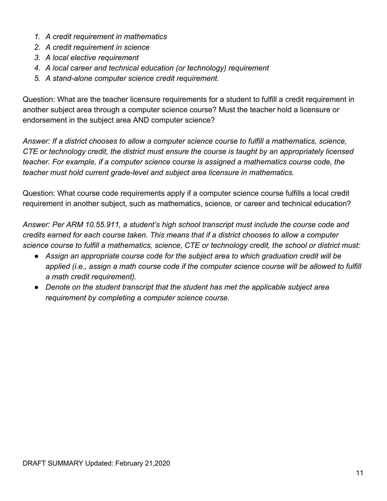- *1. A credit requirement in mathematics*
- *2. A credit requirement in science*
- *3. A local elective requirement*
- *4. A local career and technical education (or technology) requirement*
- *5. A stand-alone computer science credit requirement.*

Question: What are the teacher licensure requirements for a student to fulfill a credit requirement in another subject area through a computer science course? Must the teacher hold a licensure or endorsement in the subject area AND computer science?

*Answer: If a district chooses to allow a computer science course to fulfill a mathematics, science, CTE or technology credit, the district must ensure the course is taught by an appropriately licensed teacher. For example, if a computer science course is assigned a mathematics course code, the teacher must hold current grade-level and subject area licensure in mathematics.*

Question: What course code requirements apply if a computer science course fulfills a local credit requirement in another subject, such as mathematics, science, or career and technical education?

*Answer: Per ARM 10.55.911, a student's high school transcript must include the course code and credits earned for each course taken. This means that if a district chooses to allow a computer science course to fulfill a mathematics, science, CTE or technology credit, the school or district must:*

- *● Assign an appropriate course code for the subject area to which graduation credit will be applied (i.e., assign a math course code if the computer science course will be allowed to fulfill a math credit requirement).*
- *● Denote on the student transcript that the student has met the applicable subject area requirement by completing a computer science course.*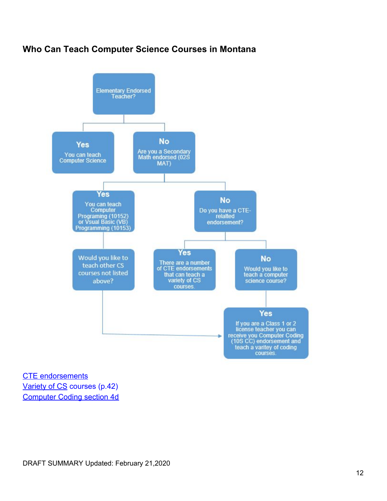#### <span id="page-11-0"></span>**Who Can Teach Computer Science Courses in Montana**



[CTE endorsements](https://opi.mt.gov/Portals/182/Page%20Files/School%20Accreditation/Standards%20of%20Accreditation/Endorsement%20Codes%2019-20.pdf?ver=2020-02-04-122336-793) [Variety of CS](https://opi.mt.gov/Portals/182/Page%20Files/School%20Accreditation/Standards%20of%20Accreditation/Appendix%20Files/B/FY20%20Course%20Codes%203.8.19.pdf?ver=2019-09-04-153601-177) courses (p.42) [Computer Coding section 4d](http://www.mtrules.org/gateway/RuleNo.asp?RN=10%2E57%2E421)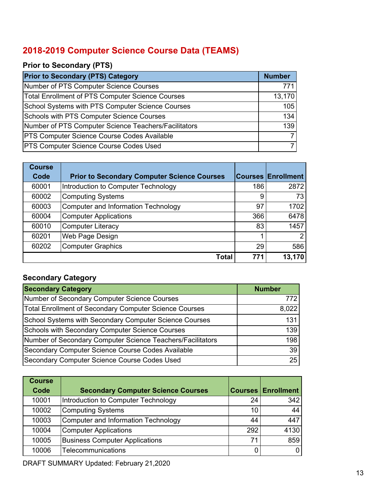## <span id="page-12-0"></span>**2018-2019 Computer Science Course Data (TEAMS)**

#### **Prior to Secondary (PTS)**

| <b>Prior to Secondary (PTS) Category</b>                | <b>Number</b> |
|---------------------------------------------------------|---------------|
| Number of PTS Computer Science Courses                  | 771           |
| <b>Total Enrollment of PTS Computer Science Courses</b> | 13,170        |
| School Systems with PTS Computer Science Courses        | 105           |
| Schools with PTS Computer Science Courses               | 134           |
| Number of PTS Computer Science Teachers/Facilitators    | 139           |
| <b>PTS Computer Science Course Codes Available</b>      |               |
| <b>PTS Computer Science Course Codes Used</b>           |               |

| <b>Course</b> |                                                    |     |                           |
|---------------|----------------------------------------------------|-----|---------------------------|
| Code          | <b>Prior to Secondary Computer Science Courses</b> |     | <b>Courses Enrollment</b> |
| 60001         | Introduction to Computer Technology                | 186 | 2872                      |
| 60002         | <b>Computing Systems</b>                           | 9   | 73                        |
| 60003         | <b>Computer and Information Technology</b>         | 97  | 1702                      |
| 60004         | <b>Computer Applications</b>                       | 366 | 6478                      |
| 60010         | <b>Computer Literacy</b>                           | 83  | 1457                      |
| 60201         | Web Page Design                                    |     | $\mathcal{P}$             |
| 60202         | <b>Computer Graphics</b>                           | 29  | 586                       |
|               | Total                                              | 771 | 13,170                    |

#### **Secondary Category**

| <b>Secondary Category</b>                                  | <b>Number</b> |
|------------------------------------------------------------|---------------|
| Number of Secondary Computer Science Courses               | 772 I         |
| Total Enrollment of Secondary Computer Science Courses     | 8,022         |
| School Systems with Secondary Computer Science Courses     | 131           |
| <b>Schools with Secondary Computer Science Courses</b>     | 139           |
| Number of Secondary Computer Science Teachers/Facilitators | 198           |
| Secondary Computer Science Course Codes Available          | 39            |
| Secondary Computer Science Course Codes Used               | 25            |

| <b>Course</b> |                                           |     |                             |
|---------------|-------------------------------------------|-----|-----------------------------|
| Code          | <b>Secondary Computer Science Courses</b> |     | <b>Courses   Enrollment</b> |
| 10001         | Introduction to Computer Technology       | 24  | 342                         |
| 10002         | Computing Systems                         | 10  | 44                          |
| 10003         | Computer and Information Technology       | 44  | 447                         |
| 10004         | <b>Computer Applications</b>              | 292 | 4130                        |
| 10005         | <b>Business Computer Applications</b>     | 71  | 859                         |
| 10006         | Telecommunications                        |     | $\Omega$                    |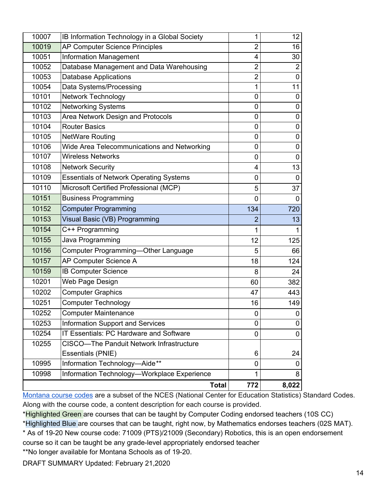|                | <b>Total</b>                                                           | 772                 | 8,022            |
|----------------|------------------------------------------------------------------------|---------------------|------------------|
| 10998          | Information Technology-Workplace Experience                            | 1                   | 8                |
| 10995          | Information Technology-Aide**                                          | 0                   | 0                |
|                | Essentials (PNIE)                                                      | 6                   | 24               |
| 10255          | CISCO-The Panduit Network Infrastructure                               |                     |                  |
| 10254          | IT Essentials: PC Hardware and Software                                | 0                   | $\mathbf 0$      |
| 10253          | Information Support and Services                                       | 0                   | $\pmb{0}$        |
| 10252          | <b>Computer Maintenance</b>                                            | 0                   | 0                |
| 10251          | <b>Computer Technology</b>                                             | 16                  | 149              |
| 10202          | <b>Computer Graphics</b>                                               | 47                  | 443              |
| 10201          | Web Page Design                                                        | 60                  | 382              |
| 10159          | <b>IB Computer Science</b>                                             | 8                   | 24               |
| 10157          | AP Computer Science A                                                  | 18                  | 124              |
| 10156          | Computer Programming-Other Language                                    | 5                   | 66               |
| 10155          | Java Programming                                                       | 12                  | 125              |
| 10154          | C++ Programming                                                        | 1                   | 1                |
| 10153          | Visual Basic (VB) Programming                                          | $\overline{2}$      | 13               |
| 10152          | <b>Computer Programming</b>                                            | 134                 | 720              |
| 10151          | <b>Business Programming</b>                                            | 0                   | 0                |
| 10110          | Microsoft Certified Professional (MCP)                                 | 5                   | 37               |
| 10109          | <b>Essentials of Network Operating Systems</b>                         | 0                   | $\mathbf 0$      |
| 10108          | <b>Network Security</b>                                                | 4                   | 13               |
| 10107          | <b>Wireless Networks</b>                                               | 0                   | 0                |
| 10106          | Wide Area Telecommunications and Networking                            | $\mathbf 0$         | $\mathbf 0$      |
| 10105          | <b>NetWare Routing</b>                                                 | 0                   | $\boldsymbol{0}$ |
| 10104          | <b>Router Basics</b>                                                   | 0                   | 0                |
| 10103          | Area Network Design and Protocols                                      | 0                   | 0                |
| 10102          | <b>Networking Systems</b>                                              | 0                   | $\pmb{0}$        |
| 10101          | <b>Network Technology</b>                                              | 0                   | 0                |
| 10054          | Data Systems/Processing                                                | 1                   | 11               |
| 10053          | <b>Database Applications</b>                                           | $\overline{2}$      | $\mathbf 0$      |
| 10052          | Database Management and Data Warehousing                               | $\overline{2}$      | $\overline{2}$   |
| 10019<br>10051 | <b>AP Computer Science Principles</b><br><b>Information Management</b> | $\overline{2}$<br>4 | 16<br>30         |
| 10007          | IB Information Technology in a Global Society                          | 1                   | 12 <sub>2</sub>  |
|                |                                                                        |                     |                  |

[Montana](https://opi.mt.gov/Portals/182/Page%20Files/School%20Accreditation/Standards%20of%20Accreditation/Appendix%20Files/B/FY20%20Course%20Codes%203.8.19.pdf?ver=2019-09-04-153601-177) course codes are a subset of the NCES (National Center for Education Statistics) Standard Codes. Along with the course code, a content description for each course is provided[.](https://opi.mt.gov/Portals/182/Page%20Files/School%20Accreditation/Standards%20of%20Accreditation/Appendix%20Files/B/FY20%20Course%20Codes%203.8.19.pdf?ver=2019-09-04-153601-177)

\*Highlighted Green are courses that can be taught by Computer Coding endorsed teachers (10S CC) \*Highlighted Blue are courses that can be taught, right now, by Mathematics endorses teachers (02S MAT). \* As of 19-20 New course code: 71009 (PTS)/21009 (Secondary) Robotics, this is an open endorsement

course so it can be taught be any grade-level appropriately endorsed teacher

\*\*No longer available for Montana Schools as of 19-20.